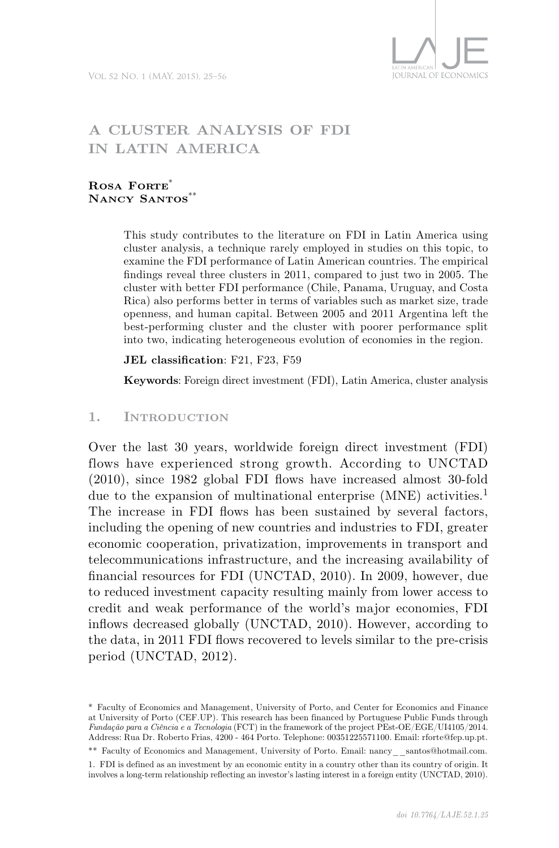

# **A cluster analysis of FDI in Latin America**

#### **ROSA FORTE**\* **Nancy Santos**\*\*

This study contributes to the literature on FDI in Latin America using cluster analysis, a technique rarely employed in studies on this topic, to examine the FDI performance of Latin American countries. The empirical findings reveal three clusters in 2011, compared to just two in 2005. The cluster with better FDI performance (Chile, Panama, Uruguay, and Costa Rica) also performs better in terms of variables such as market size, trade openness, and human capital. Between 2005 and 2011 Argentina left the best-performing cluster and the cluster with poorer performance split into two, indicating heterogeneous evolution of economies in the region.

#### **JEL classification**: F21, F23, F59

**Keywords**: Foreign direct investment (FDI), Latin America, cluster analysis

#### **1. Introduction**

Over the last 30 years, worldwide foreign direct investment (FDI) flows have experienced strong growth. According to UNCTAD (2010), since 1982 global FDI flows have increased almost 30-fold due to the expansion of multinational enterprise (MNE) activities.<sup>1</sup> The increase in FDI flows has been sustained by several factors, including the opening of new countries and industries to FDI, greater economic cooperation, privatization, improvements in transport and telecommunications infrastructure, and the increasing availability of financial resources for FDI (UNCTAD, 2010). In 2009, however, due to reduced investment capacity resulting mainly from lower access to credit and weak performance of the world's major economies, FDI inflows decreased globally (UNCTAD, 2010). However, according to the data, in 2011 FDI flows recovered to levels similar to the pre-crisis period (UNCTAD, 2012).

\*\* Faculty of Economics and Management, University of Porto. Email: nancy santos@hotmail.com.

<sup>\*</sup> Faculty of Economics and Management, University of Porto, and Center for Economics and Finance at University of Porto (CEF.UP). This research has been financed by Portuguese Public Funds through *Fundação para a Ciência e a Tecnologia* (FCT) in the framework of the project PEst-OE/EGE/UI4105/2014. Address: Rua Dr. Roberto Frias, 4200 - 464 Porto. Telephone: 00351225571100. Email: rforte@fep.up.pt.

<sup>1.</sup> FDI is defined as an investment by an economic entity in a country other than its country of origin. It involves a long-term relationship reflecting an investor's lasting interest in a foreign entity (UNCTAD, 2010).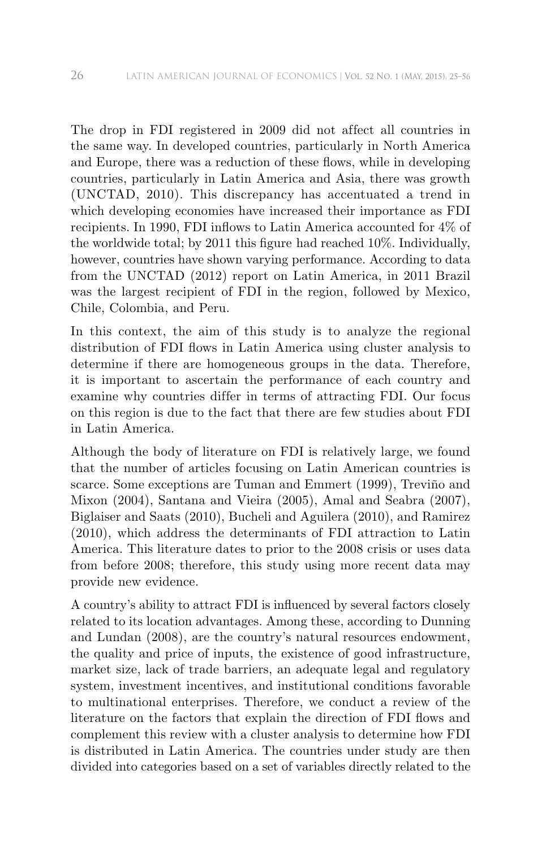The drop in FDI registered in 2009 did not affect all countries in the same way. In developed countries, particularly in North America and Europe, there was a reduction of these flows, while in developing countries, particularly in Latin America and Asia, there was growth (UNCTAD, 2010). This discrepancy has accentuated a trend in which developing economies have increased their importance as FDI recipients. In 1990, FDI inflows to Latin America accounted for 4% of the worldwide total; by 2011 this figure had reached 10%. Individually, however, countries have shown varying performance. According to data from the UNCTAD (2012) report on Latin America, in 2011 Brazil was the largest recipient of FDI in the region, followed by Mexico, Chile, Colombia, and Peru.

In this context, the aim of this study is to analyze the regional distribution of FDI flows in Latin America using cluster analysis to determine if there are homogeneous groups in the data. Therefore, it is important to ascertain the performance of each country and examine why countries differ in terms of attracting FDI. Our focus on this region is due to the fact that there are few studies about FDI in Latin America.

Although the body of literature on FDI is relatively large, we found that the number of articles focusing on Latin American countries is scarce. Some exceptions are Tuman and Emmert (1999), Treviño and Mixon (2004), Santana and Vieira (2005), Amal and Seabra (2007), Biglaiser and Saats (2010), Bucheli and Aguilera (2010), and Ramirez (2010), which address the determinants of FDI attraction to Latin America. This literature dates to prior to the 2008 crisis or uses data from before 2008; therefore, this study using more recent data may provide new evidence.

A country's ability to attract FDI is influenced by several factors closely related to its location advantages. Among these, according to Dunning and Lundan (2008), are the country's natural resources endowment, the quality and price of inputs, the existence of good infrastructure, market size, lack of trade barriers, an adequate legal and regulatory system, investment incentives, and institutional conditions favorable to multinational enterprises. Therefore, we conduct a review of the literature on the factors that explain the direction of FDI flows and complement this review with a cluster analysis to determine how FDI is distributed in Latin America. The countries under study are then divided into categories based on a set of variables directly related to the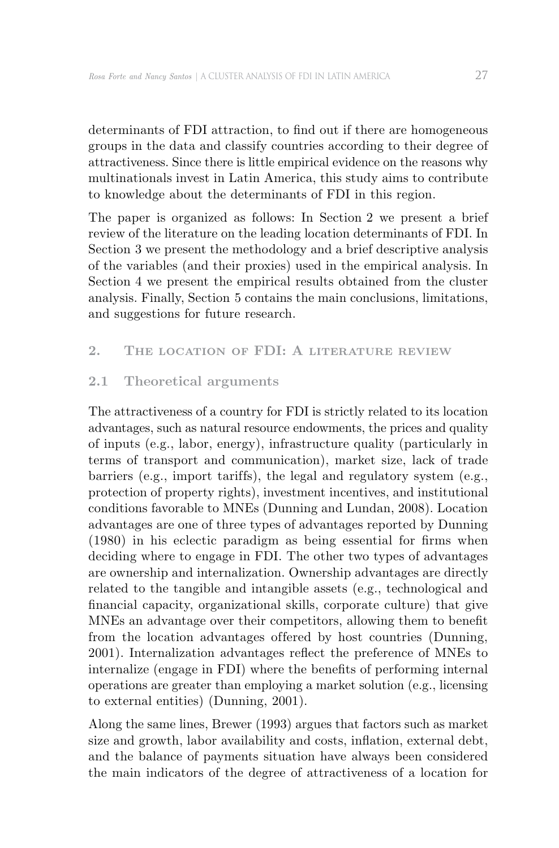determinants of FDI attraction, to find out if there are homogeneous groups in the data and classify countries according to their degree of attractiveness. Since there is little empirical evidence on the reasons why multinationals invest in Latin America, this study aims to contribute to knowledge about the determinants of FDI in this region.

The paper is organized as follows: In Section 2 we present a brief review of the literature on the leading location determinants of FDI. In Section 3 we present the methodology and a brief descriptive analysis of the variables (and their proxies) used in the empirical analysis. In Section 4 we present the empirical results obtained from the cluster analysis. Finally, Section 5 contains the main conclusions, limitations, and suggestions for future research.

### **2. The location of FDI: A literature review**

#### **2.1 Theoretical arguments**

The attractiveness of a country for FDI is strictly related to its location advantages, such as natural resource endowments, the prices and quality of inputs (e.g., labor, energy), infrastructure quality (particularly in terms of transport and communication), market size, lack of trade barriers (e.g., import tariffs), the legal and regulatory system (e.g., protection of property rights), investment incentives, and institutional conditions favorable to MNEs (Dunning and Lundan, 2008). Location advantages are one of three types of advantages reported by Dunning (1980) in his eclectic paradigm as being essential for firms when deciding where to engage in FDI. The other two types of advantages are ownership and internalization. Ownership advantages are directly related to the tangible and intangible assets (e.g., technological and financial capacity, organizational skills, corporate culture) that give MNEs an advantage over their competitors, allowing them to benefit from the location advantages offered by host countries (Dunning, 2001). Internalization advantages reflect the preference of MNEs to internalize (engage in FDI) where the benefits of performing internal operations are greater than employing a market solution (e.g., licensing to external entities) (Dunning, 2001).

Along the same lines, Brewer (1993) argues that factors such as market size and growth, labor availability and costs, inflation, external debt, and the balance of payments situation have always been considered the main indicators of the degree of attractiveness of a location for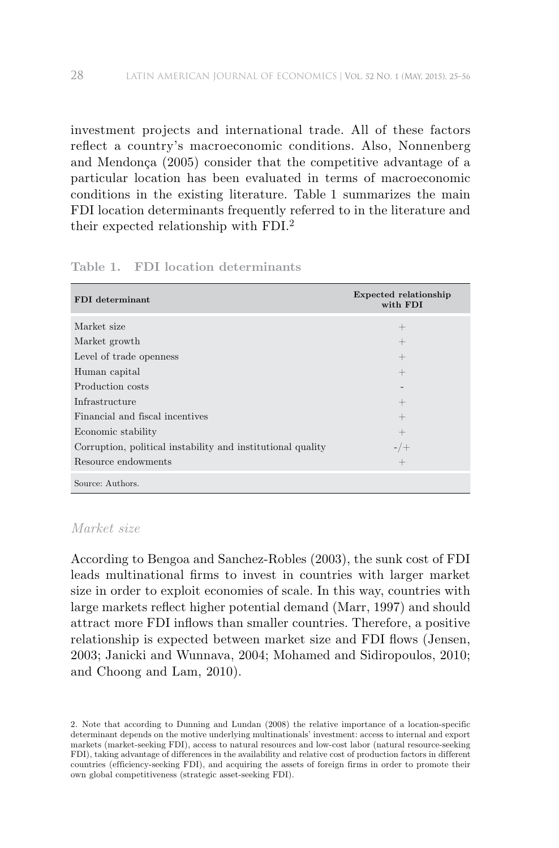investment projects and international trade. All of these factors reflect a country's macroeconomic conditions. Also, Nonnenberg and Mendonça (2005) consider that the competitive advantage of a particular location has been evaluated in terms of macroeconomic conditions in the existing literature. Table 1 summarizes the main FDI location determinants frequently referred to in the literature and their expected relationship with FDI.<sup>2</sup>

| FDI determinant                                             | Expected relationship<br>with FDI |
|-------------------------------------------------------------|-----------------------------------|
| Market size                                                 | $^{+}$                            |
| Market growth                                               | $^+$                              |
| Level of trade openness                                     | $^{+}$                            |
| Human capital                                               | $^{+}$                            |
| Production costs                                            |                                   |
| Infrastructure                                              | $^{+}$                            |
| Financial and fiscal incentives                             | $^{+}$                            |
| Economic stability                                          | $^{+}$                            |
| Corruption, political instability and institutional quality | $-$ / $+$                         |
| Resource endowments                                         | $^{+}$                            |
| Source: Authors.                                            |                                   |

**Table 1. FDI location determinants**

#### *Market size*

According to Bengoa and Sanchez-Robles (2003), the sunk cost of FDI leads multinational firms to invest in countries with larger market size in order to exploit economies of scale. In this way, countries with large markets reflect higher potential demand (Marr, 1997) and should attract more FDI inflows than smaller countries. Therefore, a positive relationship is expected between market size and FDI flows (Jensen, 2003; Janicki and Wunnava, 2004; Mohamed and Sidiropoulos, 2010; and Choong and Lam, 2010).

<sup>2.</sup> Note that according to Dunning and Lundan (2008) the relative importance of a location-specific determinant depends on the motive underlying multinationals' investment: access to internal and export markets (market-seeking FDI), access to natural resources and low-cost labor (natural resource-seeking FDI), taking advantage of differences in the availability and relative cost of production factors in different countries (efficiency-seeking FDI), and acquiring the assets of foreign firms in order to promote their own global competitiveness (strategic asset-seeking FDI).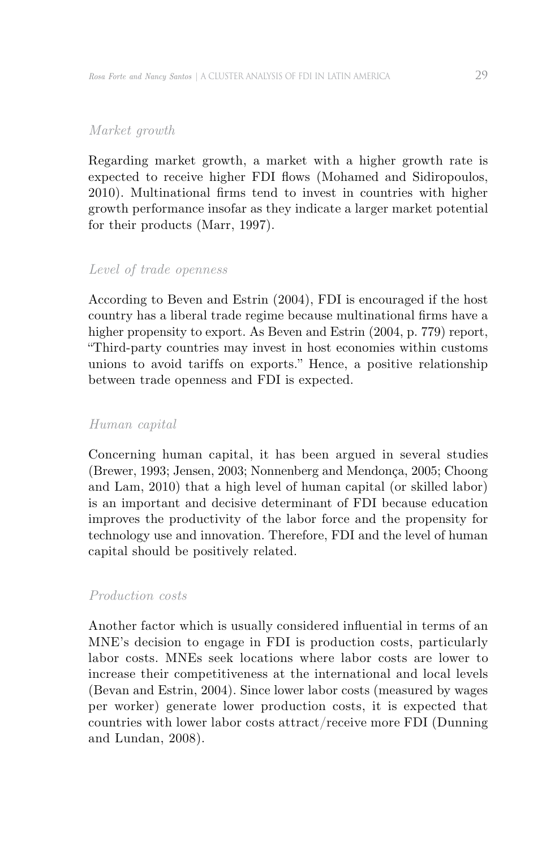### *Market growth*

Regarding market growth, a market with a higher growth rate is expected to receive higher FDI flows (Mohamed and Sidiropoulos, 2010). Multinational firms tend to invest in countries with higher growth performance insofar as they indicate a larger market potential for their products (Marr, 1997).

### *Level of trade openness*

According to Beven and Estrin (2004), FDI is encouraged if the host country has a liberal trade regime because multinational firms have a higher propensity to export. As Beven and Estrin (2004, p. 779) report, "Third-party countries may invest in host economies within customs unions to avoid tariffs on exports." Hence, a positive relationship between trade openness and FDI is expected.

#### *Human capital*

Concerning human capital, it has been argued in several studies (Brewer, 1993; Jensen, 2003; Nonnenberg and Mendonça, 2005; Choong and Lam, 2010) that a high level of human capital (or skilled labor) is an important and decisive determinant of FDI because education improves the productivity of the labor force and the propensity for technology use and innovation. Therefore, FDI and the level of human capital should be positively related.

#### *Production costs*

Another factor which is usually considered influential in terms of an MNE's decision to engage in FDI is production costs, particularly labor costs. MNEs seek locations where labor costs are lower to increase their competitiveness at the international and local levels (Bevan and Estrin, 2004). Since lower labor costs (measured by wages per worker) generate lower production costs, it is expected that countries with lower labor costs attract/receive more FDI (Dunning and Lundan, 2008).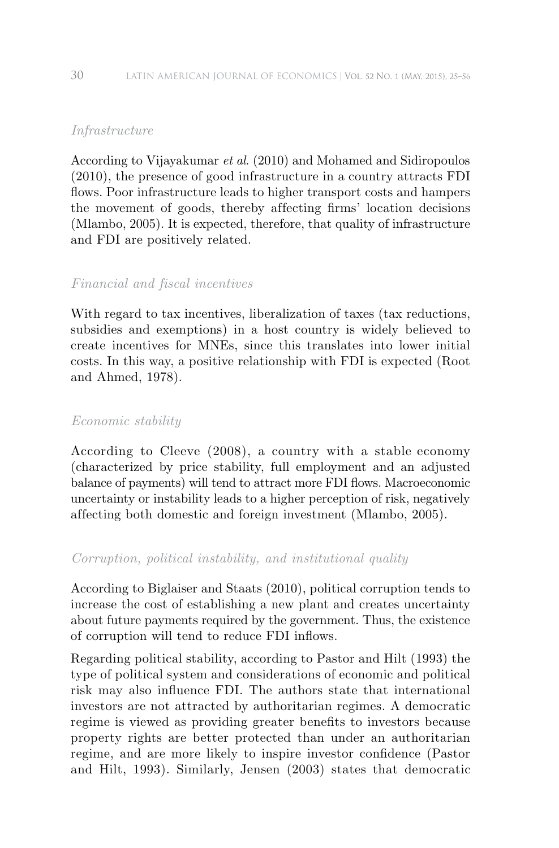## *Infrastructure*

According to Vijayakumar *et al*. (2010) and Mohamed and Sidiropoulos (2010), the presence of good infrastructure in a country attracts FDI flows. Poor infrastructure leads to higher transport costs and hampers the movement of goods, thereby af fecting firms' location decisions (Mlambo, 2005). It is expected, therefore, that quality of infrastructure and FDI are positively related.

### *Financial and fiscal incentives*

With regard to tax incentives, liberalization of taxes (tax reductions, subsidies and exemptions) in a host country is widely believed to create incentives for MNEs, since this translates into lower initial costs. In this way, a positive relationship with FDI is expected (Root and Ahmed, 1978).

### *Economic stability*

According to Cleeve (2008), a country with a stable economy (characterized by price stability, full employment and an adjusted balance of payments) will tend to attract more FDI flows. Macroeconomic uncertainty or instability leads to a higher perception of risk, negatively af fecting both domestic and foreign investment (Mlambo, 2005).

### *Corruption, political instability, and institutional quality*

According to Biglaiser and Staats (2010), political corruption tends to increase the cost of establishing a new plant and creates uncertainty about future payments required by the government. Thus, the existence of corruption will tend to reduce FDI inflows.

Regarding political stability, according to Pastor and Hilt (1993) the type of political system and considerations of economic and political risk may also influence FDI. The authors state that international investors are not attracted by authoritarian regimes. A democratic regime is viewed as providing greater benefits to investors because property rights are better protected than under an authoritarian regime, and are more likely to inspire investor confidence (Pastor and Hilt, 1993). Similarly, Jensen (2003) states that democratic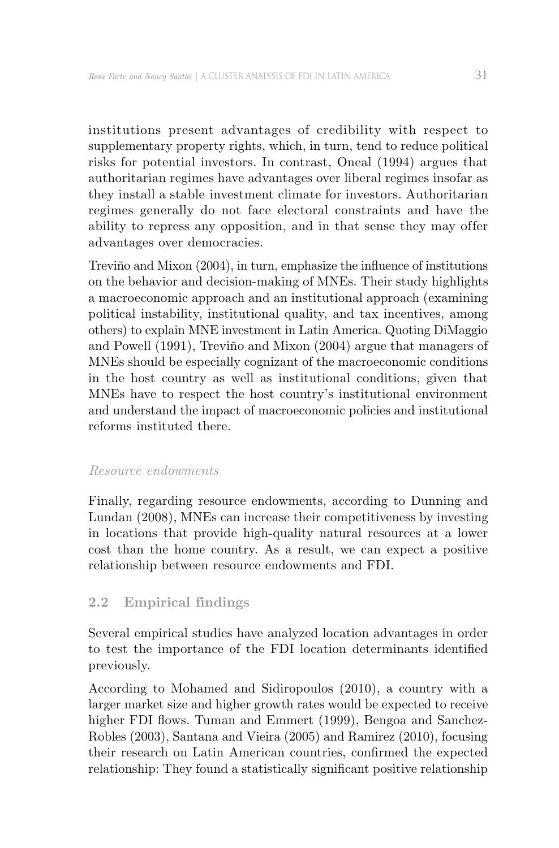institutions present advantages of credibility with respect to supplementary property rights, which, in turn, tend to reduce political risks for potential investors. In contrast, Oneal (1994) argues that authoritarian regimes have advantages over liberal regimes insofar as they install a stable investment climate for investors. Authoritarian regimes generally do not face electoral constraints and have the ability to repress any opposition, and in that sense they may offer advantages over democracies.

Treviño and Mixon (2004), in turn, emphasize the influence of institutions on the behavior and decision-making of MNEs. Their study highlights a macroeconomic approach and an institutional approach (examining political instability, institutional quality, and tax incentives, among others) to explain MNE investment in Latin America. Quoting DiMaggio and Powell (1991), Treviño and Mixon (2004) argue that managers of MNEs should be especially cognizant of the macroeconomic conditions in the host country as well as institutional conditions, given that MNEs have to respect the host country's institutional environment and understand the impact of macroeconomic policies and institutional reforms instituted there.

### *Resource endowments*

Finally, regarding resource endowments, according to Dunning and Lundan (2008), MNEs can increase their competitiveness by investing in locations that provide high-quality natural resources at a lower cost than the home country. As a result, we can expect a positive relationship between resource endowments and FDI.

## **2.2 Empirical findings**

Several empirical studies have analyzed location advantages in order to test the importance of the FDI location determinants identified previously.

According to Mohamed and Sidiropoulos (2010), a country with a larger market size and higher growth rates would be expected to receive higher FDI flows. Tuman and Emmert (1999), Bengoa and Sanchez-Robles (2003), Santana and Vieira (2005) and Ramirez (2010), focusing their research on Latin American countries, confirmed the expected relationship: They found a statistically significant positive relationship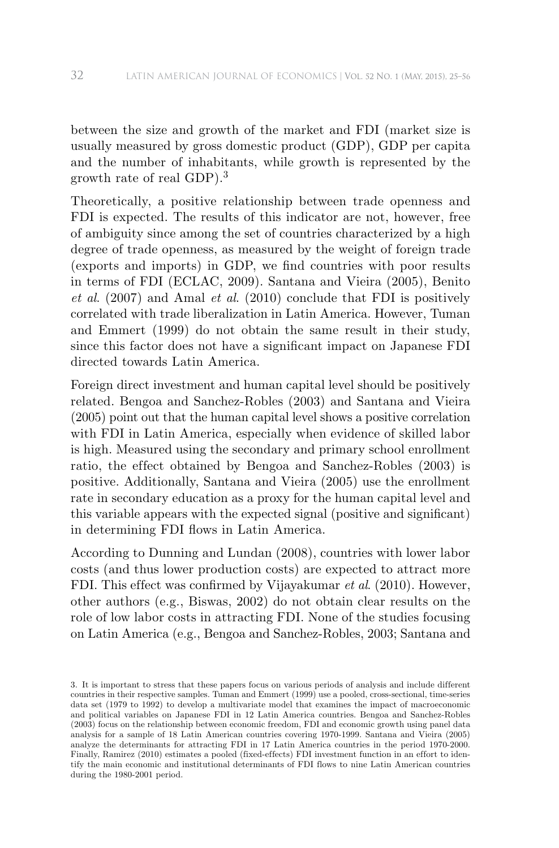between the size and growth of the market and FDI (market size is usually measured by gross domestic product (GDP), GDP per capita and the number of inhabitants, while growth is represented by the growth rate of real GDP).<sup>3</sup>

Theoretically, a positive relationship between trade openness and FDI is expected. The results of this indicator are not, however, free of ambiguity since among the set of countries characterized by a high degree of trade openness, as measured by the weight of foreign trade (exports and imports) in GDP, we find countries with poor results in terms of FDI (ECLAC, 2009). Santana and Vieira (2005), Benito *et al*. (2007) and Amal *et al*. (2010) conclude that FDI is positively correlated with trade liberalization in Latin America. However, Tuman and Emmert (1999) do not obtain the same result in their study, since this factor does not have a significant impact on Japanese FDI directed towards Latin America.

Foreign direct investment and human capital level should be positively related. Bengoa and Sanchez-Robles (2003) and Santana and Vieira (2005) point out that the human capital level shows a positive correlation with FDI in Latin America, especially when evidence of skilled labor is high. Measured using the secondary and primary school enrollment ratio, the effect obtained by Bengoa and Sanchez-Robles (2003) is positive. Additionally, Santana and Vieira (2005) use the enrollment rate in secondary education as a proxy for the human capital level and this variable appears with the expected signal (positive and significant) in determining FDI flows in Latin America.

According to Dunning and Lundan (2008), countries with lower labor costs (and thus lower production costs) are expected to attract more FDI. This effect was confirmed by Vijayakumar *et al.* (2010). However, other authors (e.g., Biswas, 2002) do not obtain clear results on the role of low labor costs in attracting FDI. None of the studies focusing on Latin America (e.g., Bengoa and Sanchez-Robles, 2003; Santana and

<sup>3.</sup> It is important to stress that these papers focus on various periods of analysis and include different countries in their respective samples. Tuman and Emmert (1999) use a pooled, cross-sectional, time-series data set (1979 to 1992) to develop a multivariate model that examines the impact of macroeconomic and political variables on Japanese FDI in 12 Latin America countries. Bengoa and Sanchez-Robles (2003) focus on the relationship between economic freedom, FDI and economic growth using panel data analysis for a sample of 18 Latin American countries covering 1970-1999. Santana and Vieira (2005) analyze the determinants for attracting FDI in 17 Latin America countries in the period 1970-2000. Finally, Ramirez (2010) estimates a pooled (fixed-effects) FDI investment function in an effort to identify the main economic and institutional determinants of FDI flows to nine Latin American countries during the 1980-2001 period.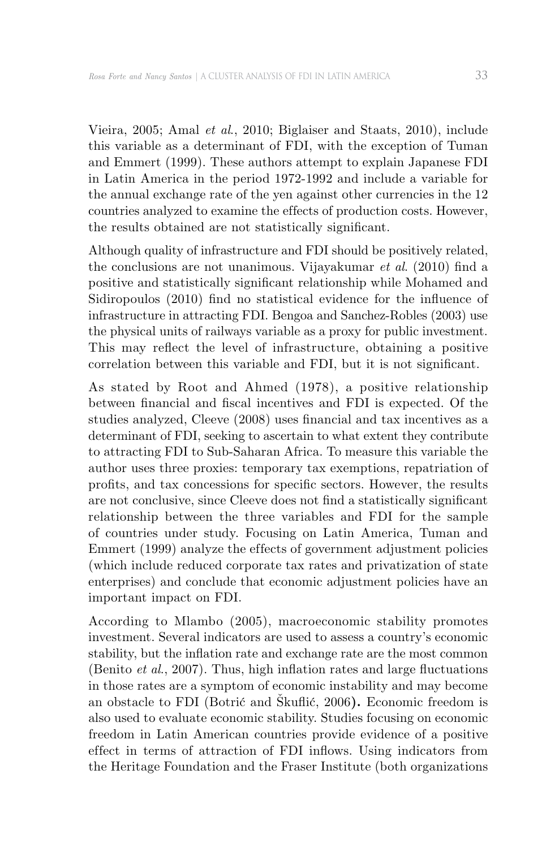Vieira, 2005; Amal *et al*., 2010; Biglaiser and Staats, 2010), include this variable as a determinant of FDI, with the exception of Tuman and Emmert (1999). These authors attempt to explain Japanese FDI in Latin America in the period 1972-1992 and include a variable for the annual exchange rate of the yen against other currencies in the 12 countries analyzed to examine the effects of production costs. However, the results obtained are not statistically significant.

Although quality of infrastructure and FDI should be positively related, the conclusions are not unanimous. Vijayakumar *et al*. (2010) find a positive and statistically significant relationship while Mohamed and Sidiropoulos (2010) find no statistical evidence for the influence of infrastructure in attracting FDI. Bengoa and Sanchez-Robles (2003) use the physical units of railways variable as a proxy for public investment. This may reflect the level of infrastructure, obtaining a positive correlation between this variable and FDI, but it is not significant.

As stated by Root and Ahmed (1978), a positive relationship between financial and fiscal incentives and FDI is expected. Of the studies analyzed, Cleeve (2008) uses financial and tax incentives as a determinant of FDI, seeking to ascertain to what extent they contribute to attracting FDI to Sub-Saharan Africa. To measure this variable the author uses three proxies: temporary tax exemptions, repatriation of profits, and tax concessions for specific sectors. However, the results are not conclusive, since Cleeve does not find a statistically significant relationship between the three variables and FDI for the sample of countries under study. Focusing on Latin America, Tuman and Emmert (1999) analyze the effects of government adjustment policies (which include reduced corporate tax rates and privatization of state enterprises) and conclude that economic adjustment policies have an important impact on FDI.

According to Mlambo (2005), macroeconomic stability promotes investment. Several indicators are used to assess a country's economic stability, but the inflation rate and exchange rate are the most common (Benito *et al*., 2007). Thus, high inflation rates and large fluctuations in those rates are a symptom of economic instability and may become an obstacle to FDI (Botrić and Škuflić, 2006**).** Economic freedom is also used to evaluate economic stability. Studies focusing on economic freedom in Latin American countries provide evidence of a positive effect in terms of attraction of FDI inflows. Using indicators from the Heritage Foundation and the Fraser Institute (both organizations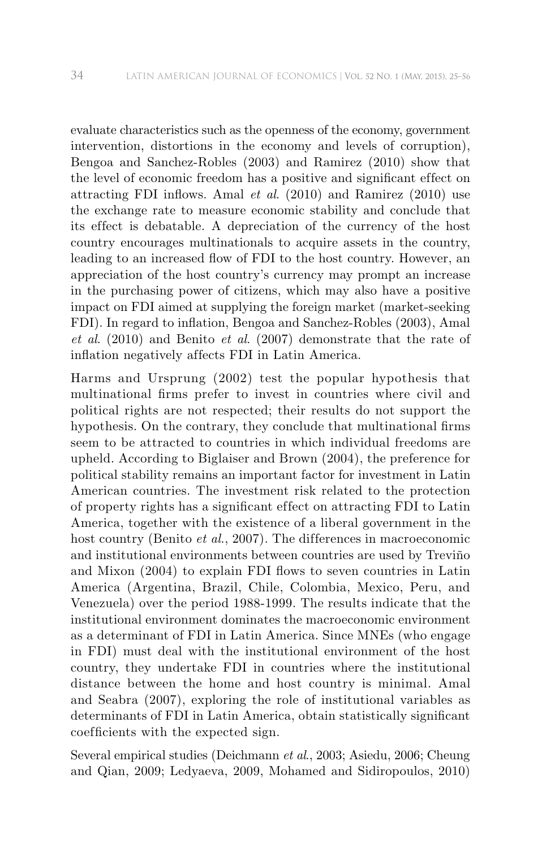evaluate characteristics such as the openness of the economy, government intervention, distortions in the economy and levels of corruption), Bengoa and Sanchez-Robles (2003) and Ramirez (2010) show that the level of economic freedom has a positive and significant effect on attracting FDI inflows. Amal *et al*. (2010) and Ramirez (2010) use the exchange rate to measure economic stability and conclude that its effect is debatable. A depreciation of the currency of the host country encourages multinationals to acquire assets in the country, leading to an increased flow of FDI to the host country. However, an appreciation of the host country's currency may prompt an increase in the purchasing power of citizens, which may also have a positive impact on FDI aimed at supplying the foreign market (market-seeking FDI). In regard to inflation, Bengoa and Sanchez-Robles (2003), Amal *et al*. (2010) and Benito *et al*. (2007) demonstrate that the rate of inflation negatively affects FDI in Latin America.

Harms and Ursprung (2002) test the popular hypothesis that multinational firms prefer to invest in countries where civil and political rights are not respected; their results do not support the hypothesis. On the contrary, they conclude that multinational firms seem to be attracted to countries in which individual freedoms are upheld. According to Biglaiser and Brown (2004), the preference for political stability remains an important factor for investment in Latin American countries. The investment risk related to the protection of property rights has a significant ef fect on attracting FDI to Latin America, together with the existence of a liberal government in the host country (Benito *et al.*, 2007). The differences in macroeconomic and institutional environments between countries are used by Treviño and Mixon (2004) to explain FDI flows to seven countries in Latin America (Argentina, Brazil, Chile, Colombia, Mexico, Peru, and Venezuela) over the period 1988-1999. The results indicate that the institutional environment dominates the macroeconomic environment as a determinant of FDI in Latin America. Since MNEs (who engage in FDI) must deal with the institutional environment of the host country, they undertake FDI in countries where the institutional distance between the home and host country is minimal. Amal and Seabra (2007), exploring the role of institutional variables as determinants of FDI in Latin America, obtain statistically significant coefficients with the expected sign.

Several empirical studies (Deichmann *et al*., 2003; Asiedu, 2006; Cheung and Qian, 2009; Ledyaeva, 2009, Mohamed and Sidiropoulos, 2010)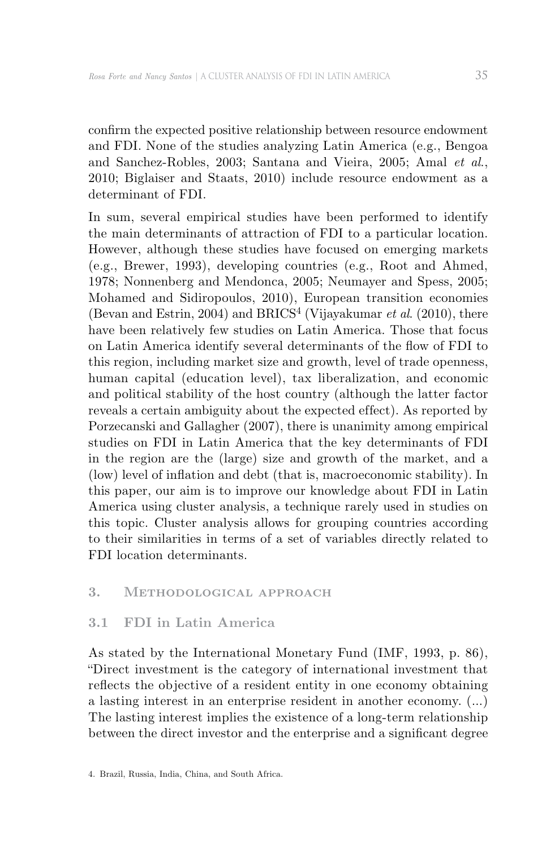confirm the expected positive relationship between resource endowment and FDI. None of the studies analyzing Latin America (e.g., Bengoa and Sanchez-Robles, 2003; Santana and Vieira, 2005; Amal *et al*., 2010; Biglaiser and Staats, 2010) include resource endowment as a determinant of FDI.

In sum, several empirical studies have been performed to identify the main determinants of attraction of FDI to a particular location. However, although these studies have focused on emerging markets (e.g., Brewer, 1993), developing countries (e.g., Root and Ahmed, 1978; Nonnenberg and Mendonca, 2005; Neumayer and Spess, 2005; Mohamed and Sidiropoulos, 2010), European transition economies (Bevan and Estrin, 2004) and BRICS4 (Vijayakumar *et al*. (2010), there have been relatively few studies on Latin America. Those that focus on Latin America identify several determinants of the flow of FDI to this region, including market size and growth, level of trade openness, human capital (education level), tax liberalization, and economic and political stability of the host country (although the latter factor reveals a certain ambiguity about the expected effect). As reported by Porzecanski and Gallagher (2007), there is unanimity among empirical studies on FDI in Latin America that the key determinants of FDI in the region are the (large) size and growth of the market, and a (low) level of inflation and debt (that is, macroeconomic stability). In this paper, our aim is to improve our knowledge about FDI in Latin America using cluster analysis, a technique rarely used in studies on this topic. Cluster analysis allows for grouping countries according to their similarities in terms of a set of variables directly related to FDI location determinants.

#### **3. Methodological approach**

#### **3.1 FDI in Latin America**

As stated by the International Monetary Fund (IMF, 1993, p. 86), "Direct investment is the category of international investment that reflects the objective of a resident entity in one economy obtaining a lasting interest in an enterprise resident in another economy. (…) The lasting interest implies the existence of a long-term relationship between the direct investor and the enterprise and a significant degree

<sup>4.</sup> Brazil, Russia, India, China, and South Africa.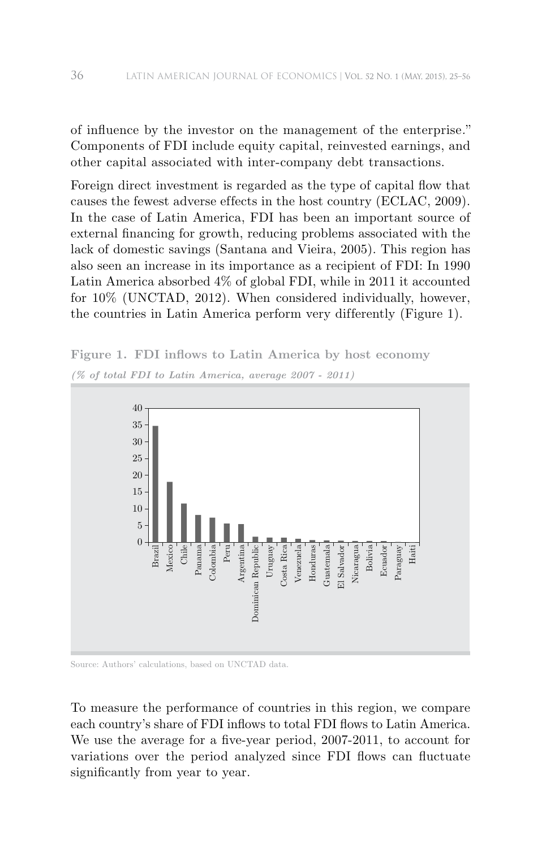of influence by the investor on the management of the enterprise*.*" Components of FDI include equity capital, reinvested earnings, and other capital associated with inter-company debt transactions.

Foreign direct investment is regarded as the type of capital flow that causes the fewest adverse effects in the host country (ECLAC, 2009). In the case of Latin America, FDI has been an important source of external financing for growth, reducing problems associated with the lack of domestic savings (Santana and Vieira, 2005). This region has also seen an increase in its importance as a recipient of FDI: In 1990 Latin America absorbed 4% of global FDI, while in 2011 it accounted for 10% (UNCTAD, 2012). When considered individually, however, the countries in Latin America perform very differently (Figure 1).

**Figure 1. FDI inflows to Latin America by host economy** *(% of total FDI to Latin America, average 2007 - 2011)*



Source: Authors' calculations, based on UNCTAD data.

To measure the performance of countries in this region, we compare each country's share of FDI inflows to total FDI flows to Latin America. We use the average for a five-year period, 2007-2011, to account for variations over the period analyzed since FDI flows can fluctuate significantly from year to year.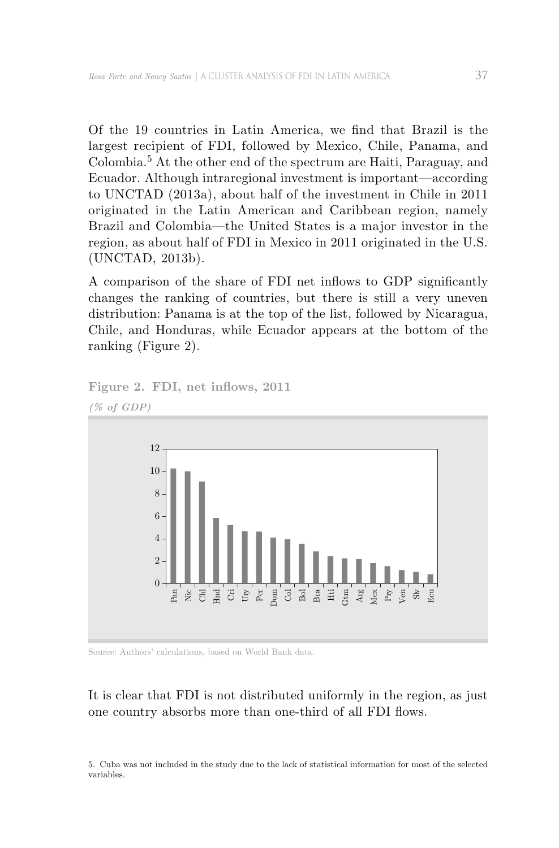Of the 19 countries in Latin America, we find that Brazil is the largest recipient of FDI, followed by Mexico, Chile, Panama, and Colombia.5 At the other end of the spectrum are Haiti, Paraguay, and Ecuador. Although intraregional investment is important—according to UNCTAD (2013a), about half of the investment in Chile in 2011 originated in the Latin American and Caribbean region, namely Brazil and Colombia—the United States is a major investor in the region, as about half of FDI in Mexico in 2011 originated in the U.S. (UNCTAD, 2013b).

A comparison of the share of FDI net inflows to GDP significantly changes the ranking of countries, but there is still a very uneven distribution: Panama is at the top of the list, followed by Nicaragua, Chile, and Honduras, while Ecuador appears at the bottom of the ranking (Figure 2).



**Figure 2. FDI, net inflows, 2011**

Source: Authors' calculations, based on World Bank data.

## It is clear that FDI is not distributed uniformly in the region, as just one country absorbs more than one-third of all FDI flows.

5. Cuba was not included in the study due to the lack of statistical information for most of the selected variables.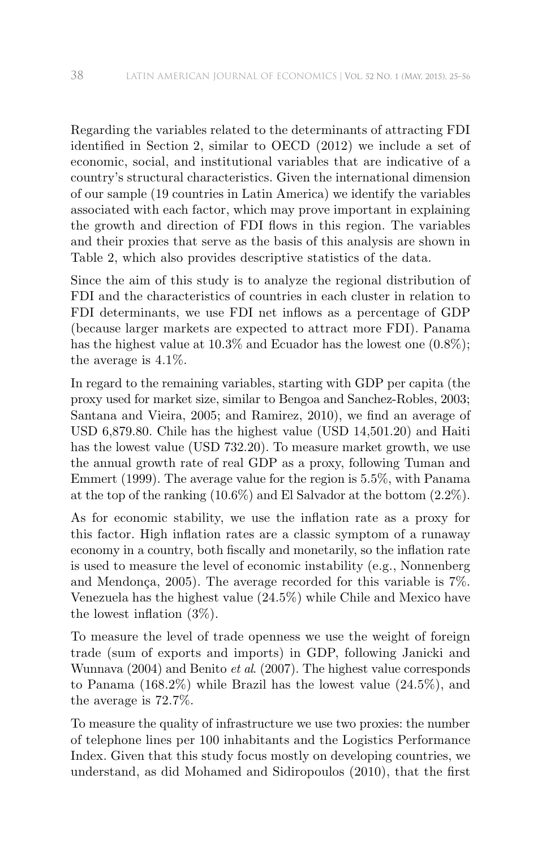Regarding the variables related to the determinants of attracting FDI identified in Section 2, similar to OECD (2012) we include a set of economic, social, and institutional variables that are indicative of a country's structural characteristics. Given the international dimension of our sample (19 countries in Latin America) we identify the variables associated with each factor, which may prove important in explaining the growth and direction of FDI flows in this region. The variables and their proxies that serve as the basis of this analysis are shown in Table 2, which also provides descriptive statistics of the data.

Since the aim of this study is to analyze the regional distribution of FDI and the characteristics of countries in each cluster in relation to FDI determinants, we use FDI net inflows as a percentage of GDP (because larger markets are expected to attract more FDI). Panama has the highest value at 10.3% and Ecuador has the lowest one  $(0.8\%)$ ; the average is 4.1%.

In regard to the remaining variables, starting with GDP per capita (the proxy used for market size, similar to Bengoa and Sanchez-Robles, 2003; Santana and Vieira, 2005; and Ramirez, 2010), we find an average of USD 6,879.80. Chile has the highest value (USD 14,501.20) and Haiti has the lowest value (USD 732.20). To measure market growth, we use the annual growth rate of real GDP as a proxy, following Tuman and Emmert (1999). The average value for the region is 5.5%, with Panama at the top of the ranking (10.6%) and El Salvador at the bottom (2.2%).

As for economic stability, we use the inflation rate as a proxy for this factor. High inflation rates are a classic symptom of a runaway economy in a country, both fiscally and monetarily, so the inflation rate is used to measure the level of economic instability (e.g., Nonnenberg and Mendonça, 2005). The average recorded for this variable is 7%. Venezuela has the highest value (24.5%) while Chile and Mexico have the lowest inflation (3%).

To measure the level of trade openness we use the weight of foreign trade (sum of exports and imports) in GDP, following Janicki and Wunnava (2004) and Benito *et al*. (2007). The highest value corresponds to Panama (168.2%) while Brazil has the lowest value (24.5%), and the average is 72.7%.

To measure the quality of infrastructure we use two proxies: the number of telephone lines per 100 inhabitants and the Logistics Performance Index. Given that this study focus mostly on developing countries, we understand, as did Mohamed and Sidiropoulos (2010), that the first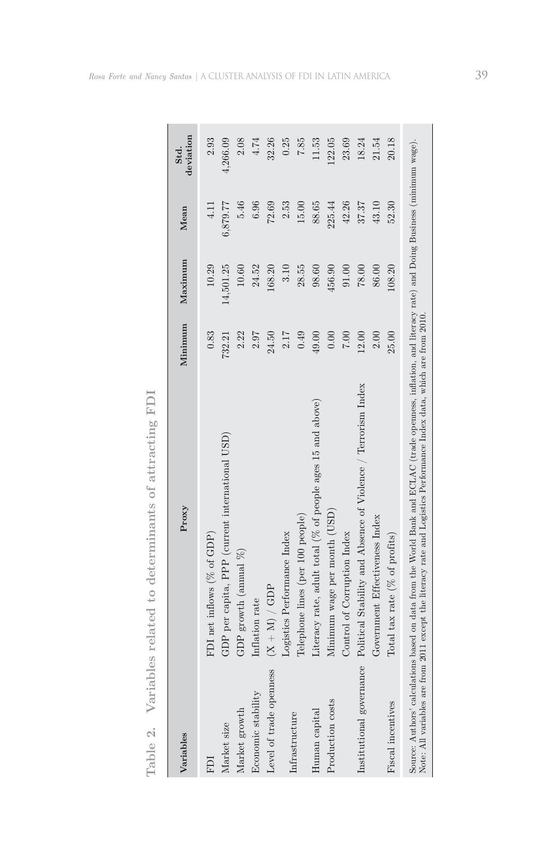| $\overline{}$                 |
|-------------------------------|
| ⌒                             |
| -                             |
|                               |
| ∸                             |
|                               |
| ģ<br>j                        |
| Ä                             |
| ∺<br>∺                        |
| نب                            |
|                               |
| ف                             |
| ē                             |
| Ĥ                             |
| ↩                             |
| ↩                             |
| ā                             |
|                               |
| ¢                             |
| ō                             |
|                               |
| U                             |
| ĽS                            |
| ö                             |
| 片                             |
| ದ                             |
| Á                             |
| ⊢<br>$\overline{\phantom{0}}$ |
| d                             |
| 느<br>Ï                        |
| ∺                             |
| ≒                             |
| ↻                             |
| ↩                             |
| ō                             |
| á                             |
|                               |
|                               |
| $\frac{0}{1}$                 |
|                               |
|                               |
| ರ                             |
|                               |
| ⊨                             |
|                               |
| 5<br>I<br>⊣                   |
| è.                            |
| Le                            |
|                               |
|                               |
| es                            |
|                               |
| ∸<br>ĥ                        |
| ⊆<br>j.                       |
| $\bar{\mathbb{E}}$            |
| ó                             |
| ï<br>⊱                        |
| ದ                             |
| ļ                             |
| ⋗                             |
|                               |
|                               |
|                               |
| è                             |
|                               |
|                               |
| ≌                             |
|                               |
| ò                             |
|                               |
|                               |
| $\vec{0}$<br>⊨                |

| Variables                | Proxy                                                                                                                                                                                                                                                                                | Minimum | Maximum   | Mean     | deviation<br>Std. |
|--------------------------|--------------------------------------------------------------------------------------------------------------------------------------------------------------------------------------------------------------------------------------------------------------------------------------|---------|-----------|----------|-------------------|
| ICH                      | FDI net inflows $(% \text{ of GDP})$                                                                                                                                                                                                                                                 | 0.83    | 10.29     | 4.11     | 2.93              |
| Market size              | GDP per capita, PPP (current international USD)                                                                                                                                                                                                                                      | 732.21  | 14,501.25 | 6,879.77 | 4,266.09          |
| Market growth            | GDP growth (annual $%$ )                                                                                                                                                                                                                                                             | 2.22    | 10.60     | 5.46     | 2.08              |
| Economic stability       | Inflation rate                                                                                                                                                                                                                                                                       | 2.97    | 24.52     | 6.96     | 4.74              |
| Level of trade openness  | $(X + M) / GDP$                                                                                                                                                                                                                                                                      | 24.50   | 168.20    | 72.69    | 32.26             |
|                          | Logistics Performance Index                                                                                                                                                                                                                                                          | 2.17    | 3.10      | 2.53     | 0.25              |
| Infrastructure           | Telephone lines (per 100 people)                                                                                                                                                                                                                                                     | 0.49    | 28.55     | 15.00    | 7.85              |
| Human capital            | Literacy rate, adult total ( $%$ of people ages 15 and above)                                                                                                                                                                                                                        | 49.00   | 98.60     | 88.65    | 11.53             |
| Production costs         | Minimum wage per month (USD)                                                                                                                                                                                                                                                         | 0.00    | 456.90    | 225.44   | 122.05            |
|                          | Control of Corruption Index                                                                                                                                                                                                                                                          | 7.00    | 91.00     | 42.26    | 23.69             |
| Institutional governance | Political Stability and Absence of Violence / Terrorism Index                                                                                                                                                                                                                        | 12.00   | $78.00$   | 37.37    | 18.24             |
|                          | Government Effectiveness Index                                                                                                                                                                                                                                                       | 2.00    | 86.00     | 43.10    | 21.54             |
| Fiscal incentives        | Total tax rate $(\%$ of profits)                                                                                                                                                                                                                                                     | 25.00   | 108.20    | 52.30    | 20.18             |
|                          | Source: Authors' calculations based on data from the World Bank and ECLAC (trade openness, inflation, and literacy rate) and Doing Business (minimum wage).<br>Note: All variables are from 2011 except the literacy rate and Logistics Performance Index data, which are from 2010. |         |           |          |                   |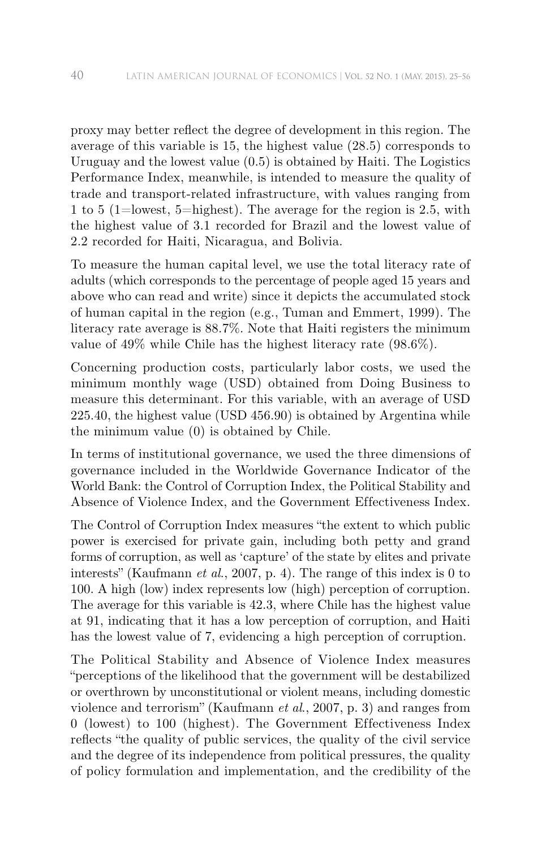proxy may better reflect the degree of development in this region. The average of this variable is 15, the highest value (28.5) corresponds to Uruguay and the lowest value (0.5) is obtained by Haiti. The Logistics Performance Index, meanwhile, is intended to measure the quality of trade and transport-related infrastructure, with values ranging from 1 to 5 (1=lowest, 5=highest). The average for the region is 2.5, with the highest value of 3.1 recorded for Brazil and the lowest value of 2.2 recorded for Haiti, Nicaragua, and Bolivia.

To measure the human capital level, we use the total literacy rate of adults (which corresponds to the percentage of people aged 15 years and above who can read and write) since it depicts the accumulated stock of human capital in the region (e.g., Tuman and Emmert, 1999). The literacy rate average is 88.7%. Note that Haiti registers the minimum value of 49% while Chile has the highest literacy rate (98.6%).

Concerning production costs, particularly labor costs, we used the minimum monthly wage (USD) obtained from Doing Business to measure this determinant. For this variable, with an average of USD 225.40, the highest value (USD 456.90) is obtained by Argentina while the minimum value (0) is obtained by Chile.

In terms of institutional governance, we used the three dimensions of governance included in the Worldwide Governance Indicator of the World Bank: the Control of Corruption Index, the Political Stability and Absence of Violence Index, and the Government Effectiveness Index.

The Control of Corruption Index measures "the extent to which public power is exercised for private gain, including both petty and grand forms of corruption, as well as 'capture' of the state by elites and private interests" (Kaufmann *et al*., 2007, p. 4). The range of this index is 0 to 100. A high (low) index represents low (high) perception of corruption. The average for this variable is 42.3, where Chile has the highest value at 91, indicating that it has a low perception of corruption, and Haiti has the lowest value of 7, evidencing a high perception of corruption.

The Political Stability and Absence of Violence Index measures "perceptions of the likelihood that the government will be destabilized or overthrown by unconstitutional or violent means, including domestic violence and terrorism" (Kaufmann *et al*., 2007, p. 3) and ranges from 0 (lowest) to 100 (highest). The Government Effectiveness Index reflects "the quality of public services, the quality of the civil service and the degree of its independence from political pressures, the quality of policy formulation and implementation, and the credibility of the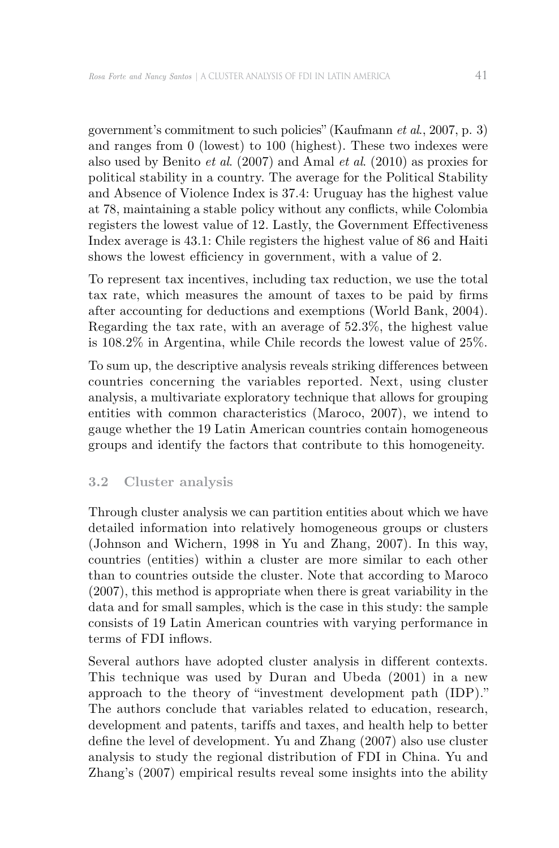government's commitment to such policies" (Kaufmann *et al*., 2007, p. 3) and ranges from 0 (lowest) to 100 (highest). These two indexes were also used by Benito *et al*. (2007) and Amal *et al*. (2010) as proxies for political stability in a country. The average for the Political Stability and Absence of Violence Index is 37.4: Uruguay has the highest value at 78, maintaining a stable policy without any conflicts, while Colombia registers the lowest value of 12. Lastly, the Government Effectiveness Index average is 43.1: Chile registers the highest value of 86 and Haiti shows the lowest efficiency in government, with a value of 2.

To represent tax incentives, including tax reduction, we use the total tax rate, which measures the amount of taxes to be paid by firms after accounting for deductions and exemptions (World Bank, 2004). Regarding the tax rate, with an average of 52.3%, the highest value is 108.2% in Argentina, while Chile records the lowest value of 25%.

To sum up, the descriptive analysis reveals striking differences between countries concerning the variables reported. Next, using cluster analysis, a multivariate exploratory technique that allows for grouping entities with common characteristics (Maroco, 2007), we intend to gauge whether the 19 Latin American countries contain homogeneous groups and identify the factors that contribute to this homogeneity.

## **3.2 Cluster analysis**

Through cluster analysis we can partition entities about which we have detailed information into relatively homogeneous groups or clusters (Johnson and Wichern, 1998 in Yu and Zhang, 2007). In this way, countries (entities) within a cluster are more similar to each other than to countries outside the cluster. Note that according to Maroco (2007), this method is appropriate when there is great variability in the data and for small samples, which is the case in this study: the sample consists of 19 Latin American countries with varying performance in terms of FDI inflows.

Several authors have adopted cluster analysis in different contexts. This technique was used by Duran and Ubeda (2001) in a new approach to the theory of "investment development path (IDP)." The authors conclude that variables related to education, research, development and patents, tariffs and taxes, and health help to better define the level of development. Yu and Zhang (2007) also use cluster analysis to study the regional distribution of FDI in China. Yu and Zhang's (2007) empirical results reveal some insights into the ability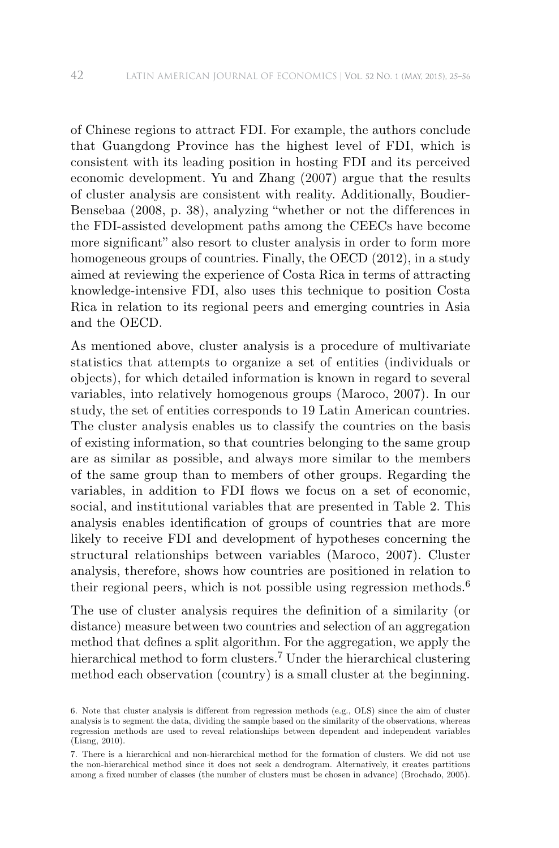of Chinese regions to attract FDI. For example, the authors conclude that Guangdong Province has the highest level of FDI, which is consistent with its leading position in hosting FDI and its perceived economic development. Yu and Zhang (2007) argue that the results of cluster analysis are consistent with reality. Additionally, Boudier-Bensebaa (2008, p. 38), analyzing "whether or not the differences in the FDI-assisted development paths among the CEECs have become more significant" also resort to cluster analysis in order to form more homogeneous groups of countries. Finally, the OECD (2012), in a study aimed at reviewing the experience of Costa Rica in terms of attracting knowledge-intensive FDI, also uses this technique to position Costa Rica in relation to its regional peers and emerging countries in Asia and the OECD.

As mentioned above, cluster analysis is a procedure of multivariate statistics that attempts to organize a set of entities (individuals or objects), for which detailed information is known in regard to several variables, into relatively homogenous groups (Maroco, 2007). In our study, the set of entities corresponds to 19 Latin American countries. The cluster analysis enables us to classify the countries on the basis of existing information, so that countries belonging to the same group are as similar as possible, and always more similar to the members of the same group than to members of other groups. Regarding the variables, in addition to FDI flows we focus on a set of economic, social, and institutional variables that are presented in Table 2. This analysis enables identification of groups of countries that are more likely to receive FDI and development of hypotheses concerning the structural relationships between variables (Maroco, 2007). Cluster analysis, therefore, shows how countries are positioned in relation to their regional peers, which is not possible using regression methods.<sup>6</sup>

The use of cluster analysis requires the definition of a similarity (or distance) measure between two countries and selection of an aggregation method that defines a split algorithm. For the aggregation, we apply the hierarchical method to form clusters.<sup>7</sup> Under the hierarchical clustering method each observation (country) is a small cluster at the beginning.

<sup>6.</sup> Note that cluster analysis is different from regression methods (e.g., OLS) since the aim of cluster analysis is to segment the data, dividing the sample based on the similarity of the observations, whereas regression methods are used to reveal relationships between dependent and independent variables (Liang, 2010).

<sup>7.</sup> There is a hierarchical and non-hierarchical method for the formation of clusters. We did not use the non-hierarchical method since it does not seek a dendrogram. Alternatively, it creates partitions among a fixed number of classes (the number of clusters must be chosen in advance) (Brochado, 2005).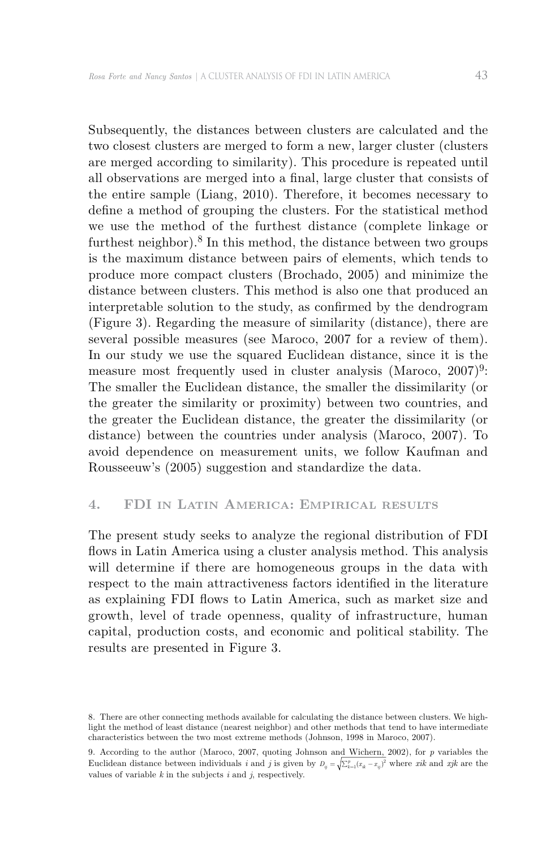Subsequently, the distances between clusters are calculated and the two closest clusters are merged to form a new, larger cluster (clusters are merged according to similarity). This procedure is repeated until all observations are merged into a final, large cluster that consists of the entire sample (Liang, 2010). Therefore, it becomes necessary to define a method of grouping the clusters. For the statistical method we use the method of the furthest distance (complete linkage or furthest neighbor).<sup>8</sup> In this method, the distance between two groups is the maximum distance between pairs of elements, which tends to produce more compact clusters (Brochado, 2005) and minimize the distance between clusters. This method is also one that produced an interpretable solution to the study, as confirmed by the dendrogram (Figure 3). Regarding the measure of similarity (distance), there are several possible measures (see Maroco, 2007 for a review of them). In our study we use the squared Euclidean distance, since it is the measure most frequently used in cluster analysis (Maroco,  $2007$ )<sup>9</sup>: The smaller the Euclidean distance, the smaller the dissimilarity (or the greater the similarity or proximity) between two countries, and the greater the Euclidean distance, the greater the dissimilarity (or distance) between the countries under analysis (Maroco, 2007). To avoid dependence on measurement units, we follow Kaufman and Rousseeuw's (2005) suggestion and standardize the data.

### **4. FDI in Latin America: Empirical results**

The present study seeks to analyze the regional distribution of FDI flows in Latin America using a cluster analysis method. This analysis will determine if there are homogeneous groups in the data with respect to the main attractiveness factors identified in the literature as explaining FDI flows to Latin America, such as market size and growth, level of trade openness, quality of infrastructure, human capital, production costs, and economic and political stability. The results are presented in Figure 3.

<sup>8.</sup> There are other connecting methods available for calculating the distance between clusters. We highlight the method of least distance (nearest neighbor) and other methods that tend to have intermediate characteristics between the two most extreme methods (Johnson, 1998 in Maroco, 2007).

<sup>9.</sup> According to the author (Maroco, 2007, quoting Johnson and Wichern, 2002), for *p* variables the Euclidean distance between individuals *i* and *j* is given by  $D_{ij} = \sqrt{\sum_{k=1}^{p} (x_{ik} - x_{ij})^2}$  where *xik* and *xjk* are the values of variable *k* in the subjects *i* and *j*, respectively.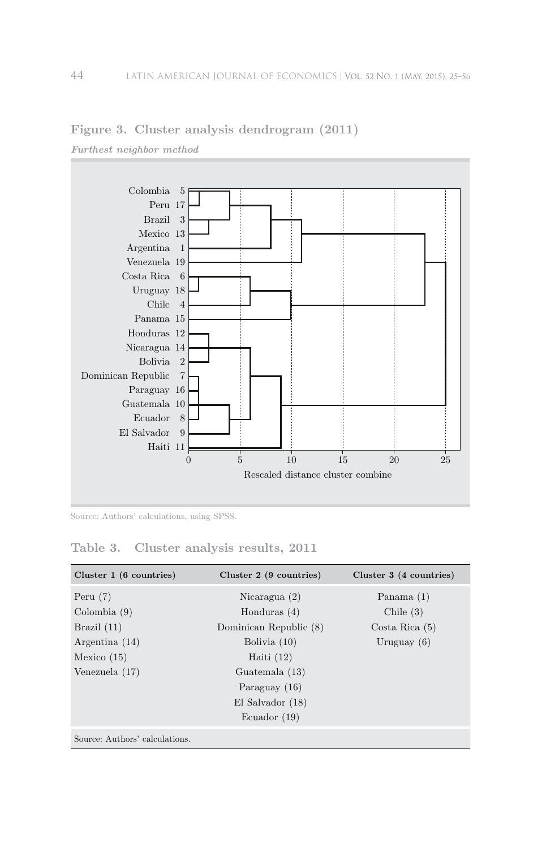

## **Figure 3. Cluster analysis dendrogram (2011)**

Source: Authors' calculations, using SPSS.

### **Table 3. Cluster analysis results, 2011**

| Cluster $1(6 \text{ countries})$ | Cluster $2(9 \text{ countries})$ | Cluster 3 (4 countries) |
|----------------------------------|----------------------------------|-------------------------|
| Peru $(7)$                       | Nicaragua $(2)$                  | Panama $(1)$            |
| $\text{Colombia}(9)$             | Honduras $(4)$                   | Chile $(3)$             |
| Brazil $(11)$                    | Dominican Republic (8)           | $Costa$ Rica $(5)$      |
| Argentina $(14)$                 | Bolivia $(10)$                   | Uruguay $(6)$           |
| Mexico $(15)$                    | Haiti $(12)$                     |                         |
| Venezuela (17)                   | Guatemala (13)                   |                         |
|                                  | Paraguay $(16)$                  |                         |
|                                  | $El$ Salvador $(18)$             |                         |
|                                  | Ecuador $(19)$                   |                         |
| Source: Authors' calculations.   |                                  |                         |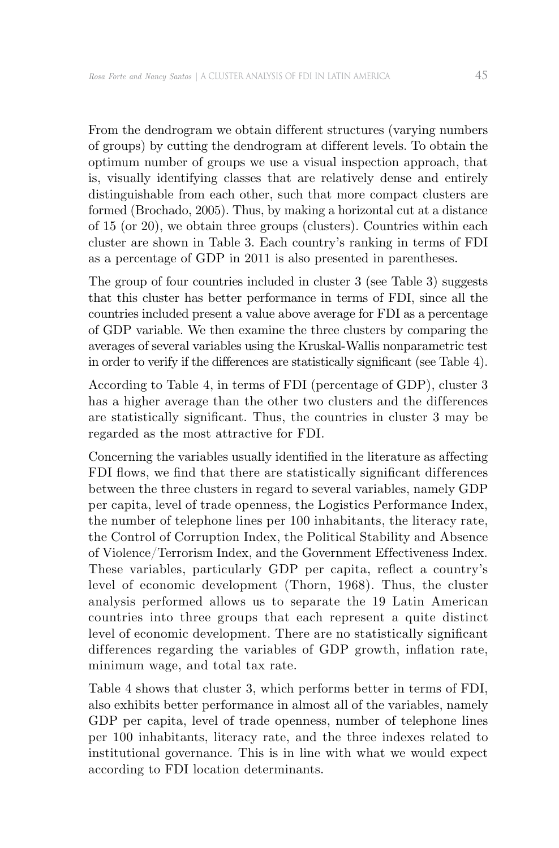From the dendrogram we obtain different structures (varying numbers of groups) by cutting the dendrogram at dif ferent levels. To obtain the optimum number of groups we use a visual inspection approach, that is, visually identifying classes that are relatively dense and entirely distinguishable from each other, such that more compact clusters are formed (Brochado, 2005). Thus, by making a horizontal cut at a distance of 15 (or 20), we obtain three groups (clusters). Countries within each cluster are shown in Table 3. Each country's ranking in terms of FDI as a percentage of GDP in 2011 is also presented in parentheses.

The group of four countries included in cluster 3 (see Table 3) suggests that this cluster has better performance in terms of FDI, since all the countries included present a value above average for FDI as a percentage of GDP variable. We then examine the three clusters by comparing the averages of several variables using the Kruskal-Wallis nonparametric test in order to verify if the differences are statistically significant (see Table 4).

According to Table 4, in terms of FDI (percentage of GDP), cluster 3 has a higher average than the other two clusters and the differences are statistically significant. Thus, the countries in cluster 3 may be regarded as the most attractive for FDI.

Concerning the variables usually identified in the literature as affecting FDI flows, we find that there are statistically significant differences between the three clusters in regard to several variables, namely GDP per capita, level of trade openness, the Logistics Performance Index, the number of telephone lines per 100 inhabitants, the literacy rate, the Control of Corruption Index, the Political Stability and Absence of Violence/Terrorism Index, and the Government Effectiveness Index. These variables, particularly GDP per capita, reflect a country's level of economic development (Thorn, 1968). Thus, the cluster analysis performed allows us to separate the 19 Latin American countries into three groups that each represent a quite distinct level of economic development. There are no statistically significant differences regarding the variables of GDP growth, inflation rate, minimum wage, and total tax rate.

Table 4 shows that cluster 3, which performs better in terms of FDI, also exhibits better performance in almost all of the variables, namely GDP per capita, level of trade openness, number of telephone lines per 100 inhabitants, literacy rate, and the three indexes related to institutional governance. This is in line with what we would expect according to FDI location determinants.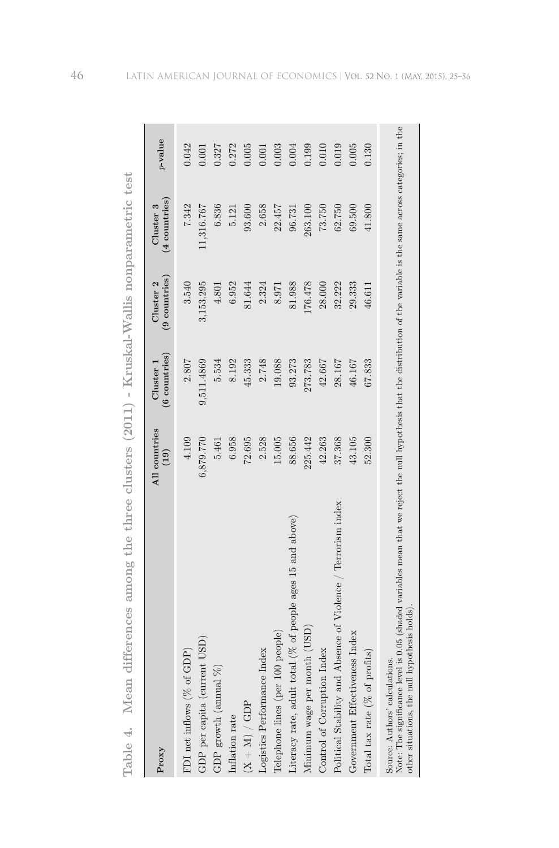| Proxy                                                                                                                                                                                                                                                        | All countries<br>(19) | $(6$ countries)<br>Cluster 1 | $(9$ countries)<br>Cluster <sub>2</sub> | $(4$ countries)<br>Cluster 3 | $p$ -value |
|--------------------------------------------------------------------------------------------------------------------------------------------------------------------------------------------------------------------------------------------------------------|-----------------------|------------------------------|-----------------------------------------|------------------------------|------------|
| FDI net inflows (% of GDP)                                                                                                                                                                                                                                   | 4.109                 | 2.807                        | 3.540                                   | 7.342                        | 0.042      |
| GDP per capita (current USD)                                                                                                                                                                                                                                 | 6,879.770             | 9,511.4869                   | 3,153.295                               | 1,316.767                    | 0.001      |
| R)<br>${\rm GDP}$ growth (annual                                                                                                                                                                                                                             | 5.461                 | 5.534                        | 4.801                                   | 6.836                        | 0.327      |
| Inflation rate                                                                                                                                                                                                                                               | 6.958                 | 8.192                        | 6.952                                   | 5.121                        | 0.272      |
| $(X + M) / GDP$                                                                                                                                                                                                                                              | 72.695                | 45.333                       | 81.644                                  | 93.600                       | 0.005      |
| Logistics Performance Index                                                                                                                                                                                                                                  | 2.528                 | 2.748                        | 2.324                                   | 2.658                        | 0.001      |
| 100 people)<br>Telephone lines (per                                                                                                                                                                                                                          | 15.005                | 19.088                       | 8.971                                   | 22.457                       | 0.003      |
| total (% of people ages 15 and above)<br>Literacy rate, adult t                                                                                                                                                                                              | 88.656                | 93.273                       | 81.988                                  | 96.731                       | 0.004      |
| Minimum wage per month (USD)                                                                                                                                                                                                                                 | 225.442               | 273.783                      | 176.478                                 | 263.100                      | 0.199      |
| Control of Corruption Index                                                                                                                                                                                                                                  | 42.263                | 42.667                       | 28.000                                  | 73.750                       | 0.010      |
| Political Stability and Absence of Violence / Terrorism index                                                                                                                                                                                                | 37.368                | 28.167                       | 32.222                                  | 62.750                       | 0.019      |
| Government Effectiveness Index                                                                                                                                                                                                                               | 43.105                | 46.167                       | 29.333                                  | 69.500                       | 0.005      |
| Total tax rate (% of profits)                                                                                                                                                                                                                                | 52.300                | 67.833                       | 46.611                                  | 41.800                       | 0.130      |
| Note: The significance level is 0.05 (shaded variables mean that we reject the null hypothesis that the distribution of the variable is the same across categories; in the<br>other situations, the null hypothesis holds)<br>Source: Authors' calculations. |                       |                              |                                         |                              |            |

**Table 4. Mean dif ferences among the three clusters (2011) - Kruskal-Wallis nonparametric test**

Table 4. Mean differences among the three clusters (2011) - Kruskal-Wallis nonparametric test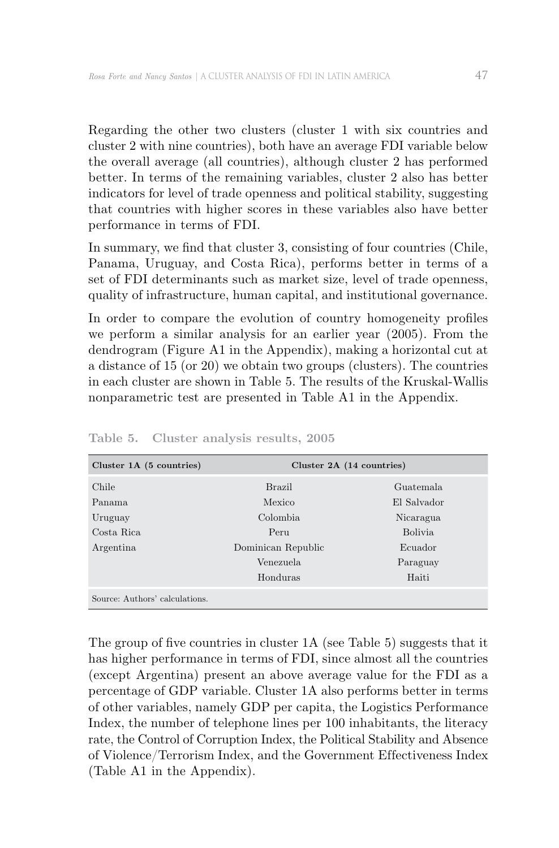Regarding the other two clusters (cluster 1 with six countries and cluster 2 with nine countries), both have an average FDI variable below the overall average (all countries), although cluster 2 has performed better. In terms of the remaining variables, cluster 2 also has better indicators for level of trade openness and political stability, suggesting that countries with higher scores in these variables also have better performance in terms of FDI.

In summary, we find that cluster 3, consisting of four countries (Chile, Panama, Uruguay, and Costa Rica), performs better in terms of a set of FDI determinants such as market size, level of trade openness, quality of infrastructure, human capital, and institutional governance.

In order to compare the evolution of country homogeneity profiles we perform a similar analysis for an earlier year (2005). From the dendrogram (Figure A1 in the Appendix), making a horizontal cut at a distance of 15 (or 20) we obtain two groups (clusters). The countries in each cluster are shown in Table 5. The results of the Kruskal-Wallis nonparametric test are presented in Table A1 in the Appendix.

| Cluster 1A (5 countries)       |                    | Cluster 2A (14 countries) |
|--------------------------------|--------------------|---------------------------|
| Chile                          | <b>Brazil</b>      | Guatemala                 |
| Panama                         | Mexico             | El Salvador               |
| Uruguay                        | Colombia.          | Nicaragua                 |
| Costa Rica                     | Peru               | Bolivia.                  |
| Argentina                      | Dominican Republic | Ecuador                   |
|                                | Venezuela          | Paraguay                  |
|                                | Honduras           | Haiti                     |
| Source: Authors' calculations. |                    |                           |

**Table 5. Cluster analysis results, 2005**

The group of five countries in cluster 1A (see Table 5) suggests that it has higher performance in terms of FDI, since almost all the countries (except Argentina) present an above average value for the FDI as a percentage of GDP variable. Cluster 1A also performs better in terms of other variables, namely GDP per capita, the Logistics Performance Index, the number of telephone lines per 100 inhabitants, the literacy rate, the Control of Corruption Index, the Political Stability and Absence of Violence/Terrorism Index, and the Government Effectiveness Index (Table A1 in the Appendix).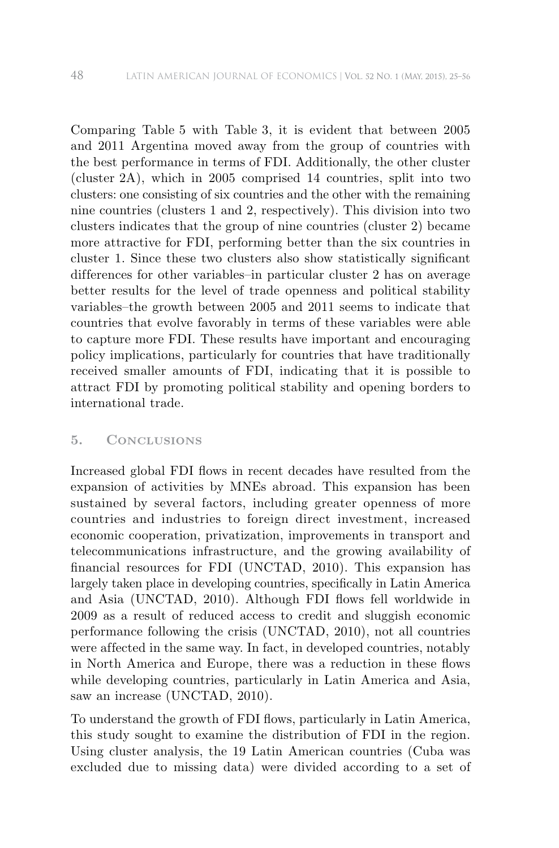Comparing Table 5 with Table 3, it is evident that between 2005 and 2011 Argentina moved away from the group of countries with the best performance in terms of FDI. Additionally, the other cluster (cluster 2A), which in 2005 comprised 14 countries, split into two clusters: one consisting of six countries and the other with the remaining nine countries (clusters 1 and 2, respectively). This division into two clusters indicates that the group of nine countries (cluster 2) became more attractive for FDI, performing better than the six countries in cluster 1. Since these two clusters also show statistically significant differences for other variables–in particular cluster 2 has on average better results for the level of trade openness and political stability variables–the growth between 2005 and 2011 seems to indicate that countries that evolve favorably in terms of these variables were able to capture more FDI. These results have important and encouraging policy implications, particularly for countries that have traditionally received smaller amounts of FDI, indicating that it is possible to attract FDI by promoting political stability and opening borders to international trade.

#### **5. Conclusions**

Increased global FDI flows in recent decades have resulted from the expansion of activities by MNEs abroad. This expansion has been sustained by several factors, including greater openness of more countries and industries to foreign direct investment, increased economic cooperation, privatization, improvements in transport and telecommunications infrastructure, and the growing availability of financial resources for FDI (UNCTAD, 2010). This expansion has largely taken place in developing countries, specifically in Latin America and Asia (UNCTAD, 2010). Although FDI flows fell worldwide in 2009 as a result of reduced access to credit and sluggish economic performance following the crisis (UNCTAD, 2010), not all countries were affected in the same way. In fact, in developed countries, notably in North America and Europe, there was a reduction in these flows while developing countries, particularly in Latin America and Asia, saw an increase (UNCTAD, 2010).

To understand the growth of FDI flows, particularly in Latin America, this study sought to examine the distribution of FDI in the region. Using cluster analysis, the 19 Latin American countries (Cuba was excluded due to missing data) were divided according to a set of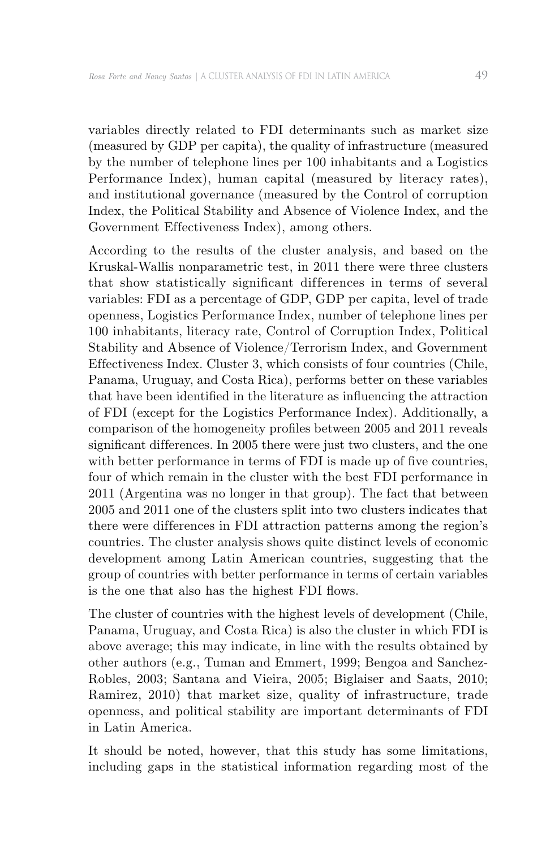variables directly related to FDI determinants such as market size (measured by GDP per capita), the quality of infrastructure (measured by the number of telephone lines per 100 inhabitants and a Logistics Performance Index), human capital (measured by literacy rates), and institutional governance (measured by the Control of corruption Index, the Political Stability and Absence of Violence Index, and the Government Effectiveness Index), among others.

According to the results of the cluster analysis, and based on the Kruskal-Wallis nonparametric test, in 2011 there were three clusters that show statistically significant differences in terms of several variables: FDI as a percentage of GDP, GDP per capita, level of trade openness, Logistics Performance Index, number of telephone lines per 100 inhabitants, literacy rate, Control of Corruption Index, Political Stability and Absence of Violence/Terrorism Index, and Government Effectiveness Index. Cluster 3, which consists of four countries (Chile, Panama, Uruguay, and Costa Rica), performs better on these variables that have been identified in the literature as influencing the attraction of FDI (except for the Logistics Performance Index). Additionally, a comparison of the homogeneity profiles between 2005 and 2011 reveals significant differences. In 2005 there were just two clusters, and the one with better performance in terms of FDI is made up of five countries, four of which remain in the cluster with the best FDI performance in 2011 (Argentina was no longer in that group). The fact that between 2005 and 2011 one of the clusters split into two clusters indicates that there were differences in FDI attraction patterns among the region's countries. The cluster analysis shows quite distinct levels of economic development among Latin American countries, suggesting that the group of countries with better performance in terms of certain variables is the one that also has the highest FDI flows.

The cluster of countries with the highest levels of development (Chile, Panama, Uruguay, and Costa Rica) is also the cluster in which FDI is above average; this may indicate, in line with the results obtained by other authors (e.g., Tuman and Emmert, 1999; Bengoa and Sanchez-Robles, 2003; Santana and Vieira, 2005; Biglaiser and Saats, 2010; Ramirez, 2010) that market size, quality of infrastructure, trade openness, and political stability are important determinants of FDI in Latin America.

It should be noted, however, that this study has some limitations, including gaps in the statistical information regarding most of the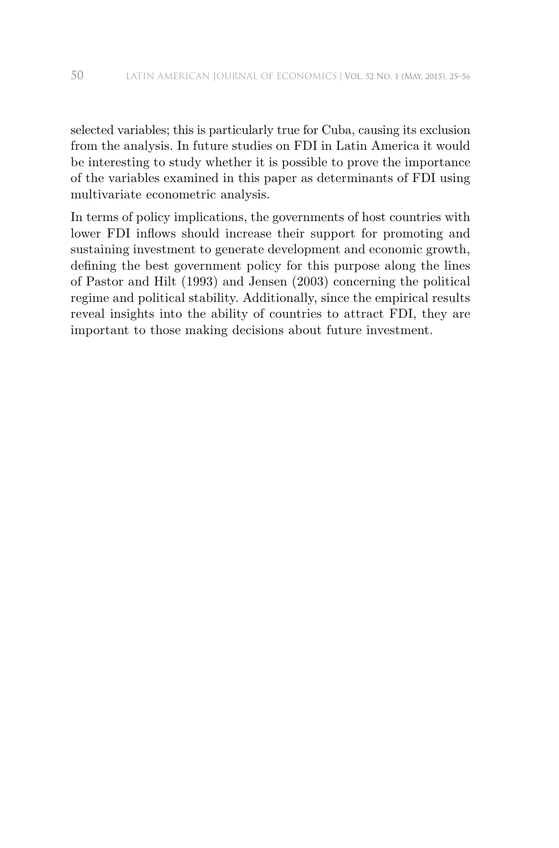selected variables; this is particularly true for Cuba, causing its exclusion from the analysis. In future studies on FDI in Latin America it would be interesting to study whether it is possible to prove the importance of the variables examined in this paper as determinants of FDI using multivariate econometric analysis.

In terms of policy implications, the governments of host countries with lower FDI inflows should increase their support for promoting and sustaining investment to generate development and economic growth, defining the best government policy for this purpose along the lines of Pastor and Hilt (1993) and Jensen (2003) concerning the political regime and political stability. Additionally, since the empirical results reveal insights into the ability of countries to attract FDI, they are important to those making decisions about future investment.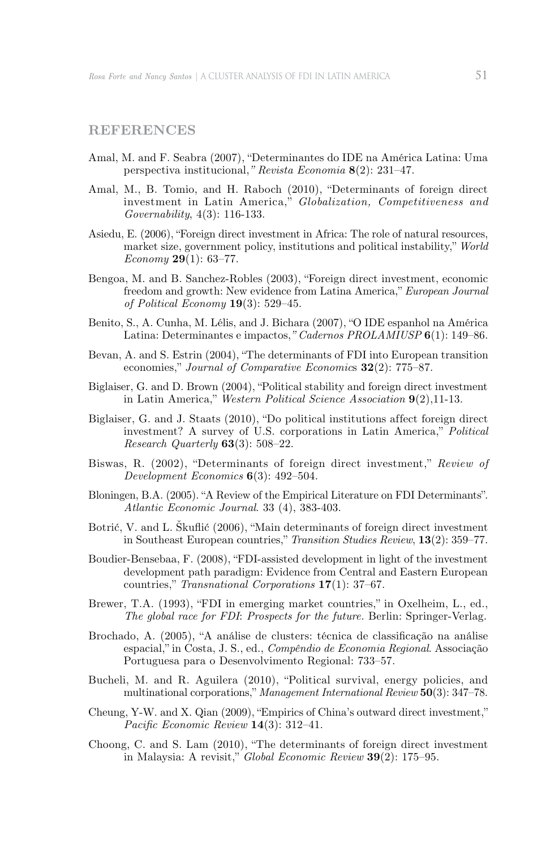#### **References**

- Amal, M. and F. Seabra (2007), "Determinantes do IDE na América Latina: Uma perspectiva institucional,*" Revista Economia* **8**(2): 231–47.
- Amal, M., B. Tomio, and H. Raboch (2010), "Determinants of foreign direct investment in Latin America," *Globalization, Competitiveness and Governability*, 4(3): 116-133.
- Asiedu, E. (2006), "Foreign direct investment in Africa: The role of natural resources, market size, government policy, institutions and political instability," *World Economy* **29**(1): 63–77.
- Bengoa, M. and B. Sanchez-Robles (2003), "Foreign direct investment, economic freedom and growth: New evidence from Latina America," *European Journal of Political Economy* **19**(3): 529–45.
- Benito, S., A. Cunha, M. Lélis, and J. Bichara (2007), "O IDE espanhol na América Latina: Determinantes e impactos,*" Cadernos PROLAMIUSP* **6**(1): 149–86.
- Bevan, A. and S. Estrin (2004), "The determinants of FDI into European transition economies," *Journal of Comparative Economic*s **32**(2): 775–87.
- Biglaiser, G. and D. Brown (2004), "Political stability and foreign direct investment in Latin America," *Western Political Science Association* **9**(2),11-13.
- Biglaiser, G. and J. Staats (2010), "Do political institutions affect foreign direct investment? A survey of U.S. corporations in Latin America," *Political Research Quarterly* **63**(3): 508–22.
- Biswas, R. (2002), "Determinants of foreign direct investment," *Review of Development Economics* **6**(3): 492–504.
- Bloningen, B.A. (2005). "A Review of the Empirical Literature on FDI Determinants". *Atlantic Economic Journal*. 33 (4), 383-403.
- Botrić, V. and L. Škuflić (2006), "Main determinants of foreign direct investment in Southeast European countries," *Transition Studies Review*, **13**(2): 359–77.
- Boudier-Bensebaa, F. (2008), "FDI-assisted development in light of the investment development path paradigm: Evidence from Central and Eastern European countries," *Transnational Corporations* **17**(1): 37–67.
- Brewer, T.A. (1993), "FDI in emerging market countries," in Oxelheim, L., ed., *The global race for FDI*: *Prospects for the future.* Berlin: Springer-Verlag.
- Brochado, A. (2005), "A análise de clusters: técnica de classificação na análise espacial," in Costa, J. S., ed., *Compêndio de Economia Regional*. Associação Portuguesa para o Desenvolvimento Regional: 733–57.
- Bucheli, M. and R. Aguilera (2010), "Political survival, energy policies, and multinational corporations," *Management International Review* **50**(3): 347–78.
- Cheung, Y-W. and X. Qian (2009), "Empirics of China's outward direct investment," *Pacific Economic Review* **14**(3): 312–41.
- Choong, C. and S. Lam (2010), "The determinants of foreign direct investment in Malaysia: A revisit," *Global Economic Review* **39**(2): 175–95.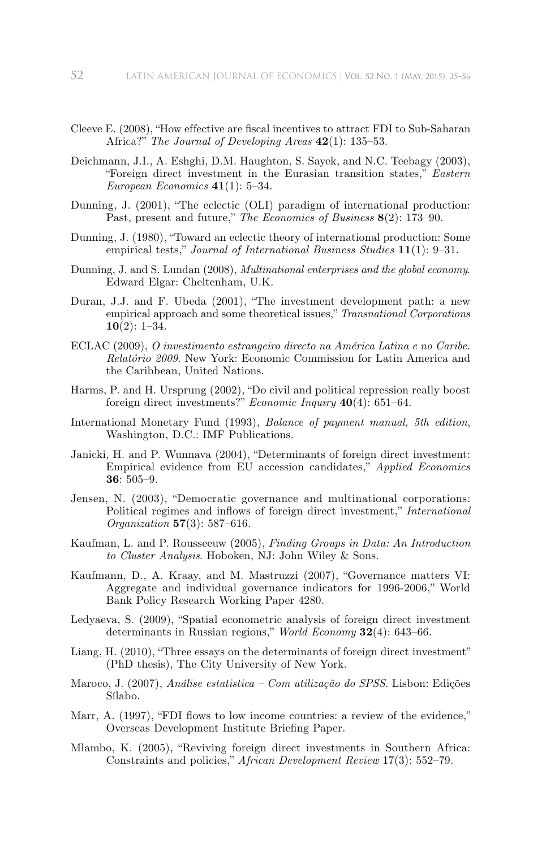- Cleeve E. (2008), "How effective are fiscal incentives to attract FDI to Sub-Saharan Africa?" *The Journal of Developing Areas* **42**(1): 135–53.
- Deichmann, J.I., A. Eshghi, D.M. Haughton, S. Sayek, and N.C. Teebagy (2003), "Foreign direct investment in the Eurasian transition states," *Eastern European Economics* **41**(1): 5–34.
- Dunning, J. (2001), "The eclectic (OLI) paradigm of international production: Past, present and future," *The Economics of Business* **8**(2): 173–90.
- Dunning, J. (1980), "Toward an eclectic theory of international production: Some empirical tests," *Journal of International Business Studies* **11**(1): 9–31.
- Dunning, J. and S. Lundan (2008), *Multinational enterprises and the global economy*. Edward Elgar: Cheltenham, U.K.
- Duran, J.J. and F. Ubeda (2001), "The investment development path: a new empirical approach and some theoretical issues," *Transnational Corporations* **10**(2): 1–34.
- ECLAC (2009), *O investimento estrangeiro directo na América Latina e no Caribe. Relatório 2009*. New York: Economic Commission for Latin America and the Caribbean, United Nations.
- Harms, P. and H. Ursprung (2002), "Do civil and political repression really boost foreign direct investments?" *Economic Inquiry* **40**(4): 651–64.
- International Monetary Fund (1993), *Balance of payment manual, 5th edition*, Washington, D.C.: IMF Publications.
- Janicki, H. and P. Wunnava (2004), "Determinants of foreign direct investment: Empirical evidence from EU accession candidates," *Applied Economics* **36**: 505–9.
- Jensen, N. (2003), "Democratic governance and multinational corporations: Political regimes and inflows of foreign direct investment," *International Organization* **57**(3): 587–616.
- Kaufman, L. and P. Rousseeuw (2005), *Finding Groups in Data: An Introduction to Cluster Analysis*. Hoboken, NJ: John Wiley & Sons.
- Kaufmann, D., A. Kraay, and M. Mastruzzi (2007), "Governance matters VI: Aggregate and individual governance indicators for 1996-2006," World Bank Policy Research Working Paper 4280.
- Ledyaeva, S. (2009), "Spatial econometric analysis of foreign direct investment determinants in Russian regions," *World Economy* **32**(4): 643–66.
- Liang, H. (2010), "Three essays on the determinants of foreign direct investment" (PhD thesis), The City University of New York.
- Maroco, J. (2007), *Análise estatistica Com utilização do SPSS.* Lisbon: Edições Sílabo.
- Marr, A. (1997), "FDI flows to low income countries: a review of the evidence," Overseas Development Institute Briefing Paper.
- Mlambo, K. (2005), "Reviving foreign direct investments in Southern Africa: Constraints and policies," *African Development Review* 17(3): 552–79.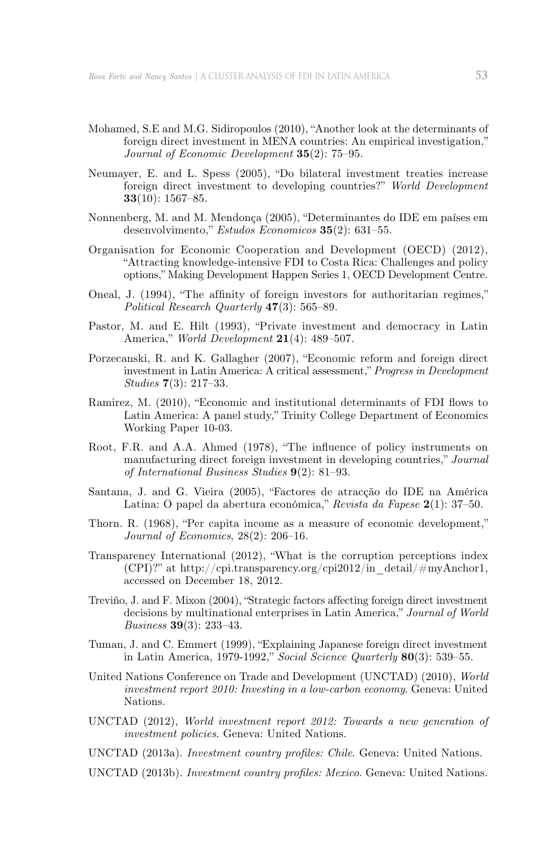- Mohamed, S.E and M.G. Sidiropoulos (2010), "Another look at the determinants of foreign direct investment in MENA countries: An empirical investigation," *Journal of Economic Development* **35**(2): 75–95.
- Neumayer, E. and L. Spess (2005), "Do bilateral investment treaties increase foreign direct investment to developing countries?" *World Development* **33**(10): 1567–85.
- Nonnenberg, M. and M. Mendonça (2005), "Determinantes do IDE em países em desenvolvimento," *Estudos Economicos* **35**(2): 631–55.
- Organisation for Economic Cooperation and Development (OECD) (2012), "Attracting knowledge-intensive FDI to Costa Rica: Challenges and policy options," Making Development Happen Series 1, OECD Development Centre.
- Oneal, J. (1994), "The affinity of foreign investors for authoritarian regimes," *Political Research Quarterly* **47**(3): 565–89.
- Pastor, M. and E. Hilt (1993), "Private investment and democracy in Latin America," *World Development* **21**(4): 489–507.
- Porzecanski, R. and K. Gallagher (2007), "Economic reform and foreign direct investment in Latin America: A critical assessment," *Progress in Development Studies* **7**(3): 217–33.
- Ramirez, M. (2010), "Economic and institutional determinants of FDI flows to Latin America: A panel study," Trinity College Department of Economics Working Paper 10-03.
- Root, F.R. and A.A. Ahmed (1978), "The influence of policy instruments on manufacturing direct foreign investment in developing countries," *Journal of International Business Studies* **9**(2): 81–93.
- Santana, J. and G. Vieira (2005), "Factores de atracção do IDE na América Latina: O papel da abertura económica," *Revista da Fapese* **2**(1): 37–50.
- Thorn. R. (1968), "Per capita income as a measure of economic development," *Journal of Economics*, 28(2): 206–16.
- Transparency International (2012), "What is the corruption perceptions index  $(CPI)$ ?" at http://cpi.transparency.org/cpi2012/in\_detail/#myAnchor1, accessed on December 18, 2012.
- Treviño, J. and F. Mixon (2004), "Strategic factors affecting foreign direct investment decisions by multinational enterprises in Latin America," *Journal of World Business* **39**(3): 233–43.
- Tuman, J. and C. Emmert (1999), "Explaining Japanese foreign direct investment in Latin America, 1979-1992," *Social Science Quarterly* **80**(3): 539–55.
- United Nations Conference on Trade and Development (UNCTAD) (2010), *World investment report 2010: Investing in a low-carbon economy*. Geneva: United Nations.
- UNCTAD (2012), *World investment report 2012: Towards a new generation of investment policies*. Geneva: United Nations.
- UNCTAD (2013a). *Investment country profiles: Chile*. Geneva: United Nations.
- UNCTAD (2013b). *Investment country profiles: Mexico*. Geneva: United Nations.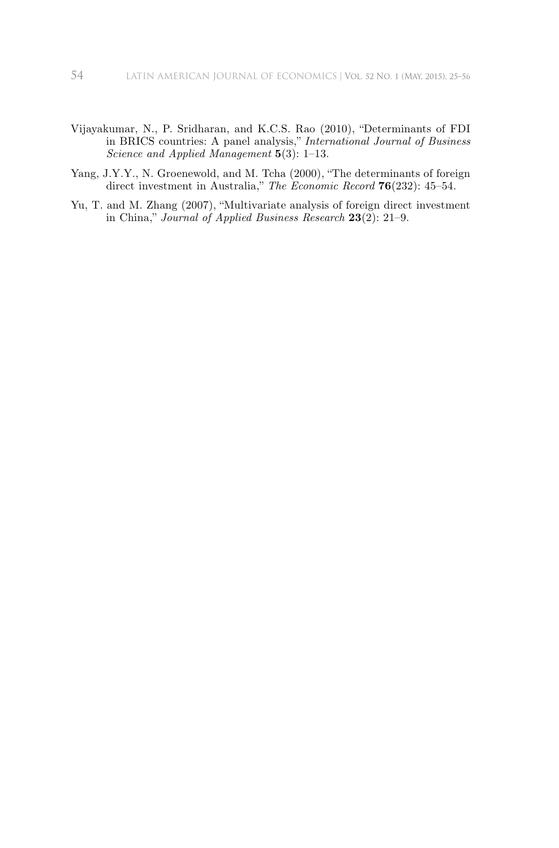- Vijayakumar, N., P. Sridharan, and K.C.S. Rao (2010), "Determinants of FDI in BRICS countries: A panel analysis," *International Journal of Business Science and Applied Management* **5**(3): 1–13.
- Yang, J.Y.Y., N. Groenewold, and M. Tcha (2000), "The determinants of foreign direct investment in Australia," *The Economic Record* **76**(232): 45–54.
- Yu, T. and M. Zhang (2007), "Multivariate analysis of foreign direct investment in China," *Journal of Applied Business Research* **23**(2): 21–9.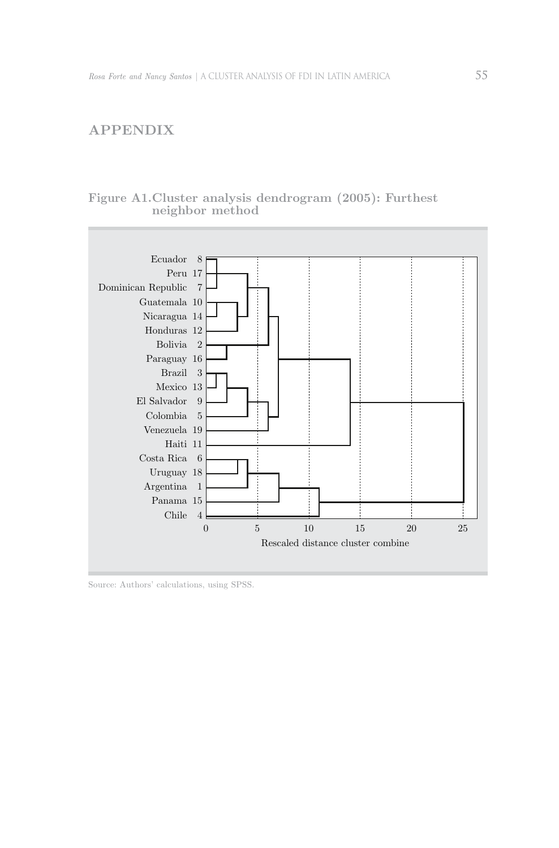## **Appendix**

### **Figure A1. Cluster analysis dendrogram (2005): Furthest neighbor method**



Source: Authors' calculations, using SPSS.